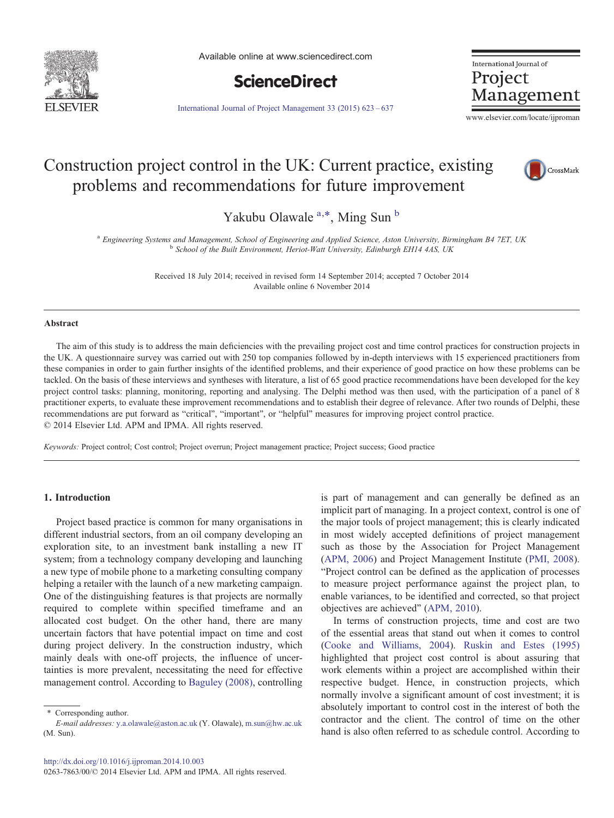

Available online at www.sciencedirect.com



International Journal of Project Management

[International Journal of Project Management 33 \(2015\) 623](http://dx.doi.org/10.1016/j.ijproman.2014.10.003)–637

www.elsevier.com/locate/ijproman

# Construction project control in the UK: Current practice, existing problems and recommendations for future improvement



Yakubu Olawale <sup>a,\*</sup>, Ming Sun <sup>b</sup>

<sup>a</sup> Engineering Systems and Management, School of Engineering and Applied Science, Aston University, Birmingham B4 7ET, UK<br><sup>b</sup> School of the Built Environment, Heriot-Watt University, Edinburgh EH14 4AS, UK

Received 18 July 2014; received in revised form 14 September 2014; accepted 7 October 2014 Available online 6 November 2014

#### Abstract

The aim of this study is to address the main deficiencies with the prevailing project cost and time control practices for construction projects in the UK. A questionnaire survey was carried out with 250 top companies followed by in-depth interviews with 15 experienced practitioners from these companies in order to gain further insights of the identified problems, and their experience of good practice on how these problems can be tackled. On the basis of these interviews and syntheses with literature, a list of 65 good practice recommendations have been developed for the key project control tasks: planning, monitoring, reporting and analysing. The Delphi method was then used, with the participation of a panel of 8 practitioner experts, to evaluate these improvement recommendations and to establish their degree of relevance. After two rounds of Delphi, these recommendations are put forward as "critical", "important", or "helpful" measures for improving project control practice. © 2014 Elsevier Ltd. APM and IPMA. All rights reserved.

Keywords: Project control; Cost control; Project overrun; Project management practice; Project success; Good practice

### 1. Introduction

Project based practice is common for many organisations in different industrial sectors, from an oil company developing an exploration site, to an investment bank installing a new IT system; from a technology company developing and launching a new type of mobile phone to a marketing consulting company helping a retailer with the launch of a new marketing campaign. One of the distinguishing features is that projects are normally required to complete within specified timeframe and an allocated cost budget. On the other hand, there are many uncertain factors that have potential impact on time and cost during project delivery. In the construction industry, which mainly deals with one-off projects, the influence of uncertainties is more prevalent, necessitating the need for effective management control. According to [Baguley \(2008\)](#page--1-0), controlling is part of management and can generally be defined as an implicit part of managing. In a project context, control is one of the major tools of project management; this is clearly indicated in most widely accepted definitions of project management such as those by the Association for Project Management ([APM, 2006](#page--1-0)) and Project Management Institute [\(PMI, 2008\)](#page--1-0). "Project control can be defined as the application of processes to measure project performance against the project plan, to enable variances, to be identified and corrected, so that project objectives are achieved" ([APM, 2010\)](#page--1-0).

In terms of construction projects, time and cost are two of the essential areas that stand out when it comes to control ([Cooke and Williams, 2004\)](#page--1-0). [Ruskin and Estes \(1995\)](#page--1-0) highlighted that project cost control is about assuring that work elements within a project are accomplished within their respective budget. Hence, in construction projects, which normally involve a significant amount of cost investment; it is absolutely important to control cost in the interest of both the contractor and the client. The control of time on the other hand is also often referred to as schedule control. According to

<sup>⁎</sup> Corresponding author. E-mail addresses: [y.a.olawale@aston.ac.uk](mailto:y.a.olawale@aston.ac.uk) (Y. Olawale), [m.sun@hw.ac.uk](mailto:m.sun@hw.ac.uk) (M. Sun).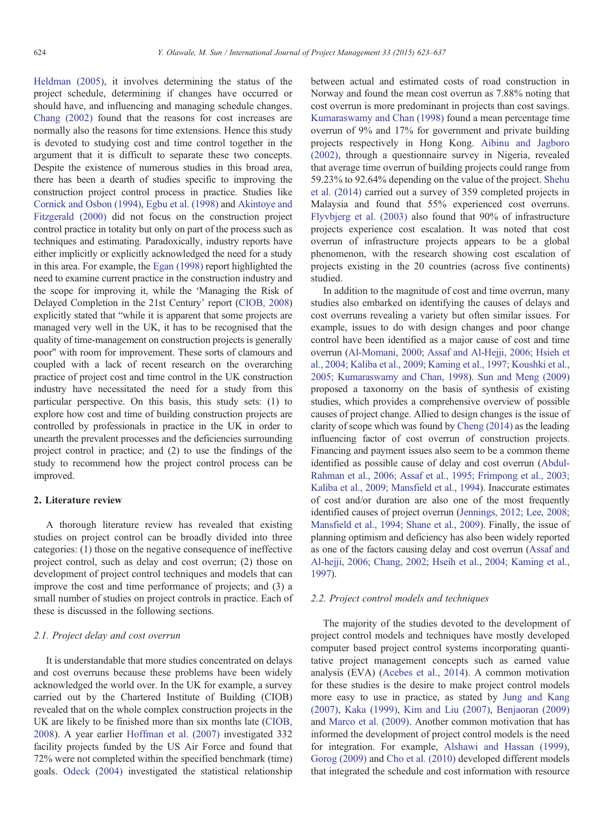[Heldman \(2005\),](#page--1-0) it involves determining the status of the project schedule, determining if changes have occurred or should have, and influencing and managing schedule changes. [Chang \(2002\)](#page--1-0) found that the reasons for cost increases are normally also the reasons for time extensions. Hence this study is devoted to studying cost and time control together in the argument that it is difficult to separate these two concepts. Despite the existence of numerous studies in this broad area, there has been a dearth of studies specific to improving the construction project control process in practice. Studies like [Cornick and Osbon \(1994\),](#page--1-0) [Egbu et al. \(1998\)](#page--1-0) and [Akintoye and](#page--1-0) [Fitzgerald \(2000\)](#page--1-0) did not focus on the construction project control practice in totality but only on part of the process such as techniques and estimating. Paradoxically, industry reports have either implicitly or explicitly acknowledged the need for a study in this area. For example, the [Egan \(1998\)](#page--1-0) report highlighted the need to examine current practice in the construction industry and the scope for improving it, while the 'Managing the Risk of Delayed Completion in the 21st Century' report ([CIOB, 2008\)](#page--1-0) explicitly stated that "while it is apparent that some projects are managed very well in the UK, it has to be recognised that the quality of time-management on construction projects is generally poor" with room for improvement. These sorts of clamours and coupled with a lack of recent research on the overarching practice of project cost and time control in the UK construction industry have necessitated the need for a study from this particular perspective. On this basis, this study sets: (1) to explore how cost and time of building construction projects are controlled by professionals in practice in the UK in order to unearth the prevalent processes and the deficiencies surrounding project control in practice; and (2) to use the findings of the study to recommend how the project control process can be improved.

### 2. Literature review

A thorough literature review has revealed that existing studies on project control can be broadly divided into three categories: (1) those on the negative consequence of ineffective project control, such as delay and cost overrun; (2) those on development of project control techniques and models that can improve the cost and time performance of projects; and (3) a small number of studies on project controls in practice. Each of these is discussed in the following sections.

## 2.1. Project delay and cost overrun

It is understandable that more studies concentrated on delays and cost overruns because these problems have been widely acknowledged the world over. In the UK for example, a survey carried out by the Chartered Institute of Building (CIOB) revealed that on the whole complex construction projects in the UK are likely to be finished more than six months late ([CIOB,](#page--1-0) [2008\)](#page--1-0). A year earlier [Hoffman et al. \(2007\)](#page--1-0) investigated 332 facility projects funded by the US Air Force and found that 72% were not completed within the specified benchmark (time) goals. [Odeck \(2004\)](#page--1-0) investigated the statistical relationship between actual and estimated costs of road construction in Norway and found the mean cost overrun as 7.88% noting that cost overrun is more predominant in projects than cost savings. [Kumaraswamy and Chan \(1998\)](#page--1-0) found a mean percentage time overrun of 9% and 17% for government and private building projects respectively in Hong Kong. [Aibinu and Jagboro](#page--1-0) [\(2002\)](#page--1-0), through a questionnaire survey in Nigeria, revealed that average time overrun of building projects could range from 59.23% to 92.64% depending on the value of the project. [Shehu](#page--1-0) [et al. \(2014\)](#page--1-0) carried out a survey of 359 completed projects in Malaysia and found that 55% experienced cost overruns. [Flyvbjerg et al. \(2003\)](#page--1-0) also found that 90% of infrastructure projects experience cost escalation. It was noted that cost overrun of infrastructure projects appears to be a global phenomenon, with the research showing cost escalation of projects existing in the 20 countries (across five continents) studied.

In addition to the magnitude of cost and time overrun, many studies also embarked on identifying the causes of delays and cost overruns revealing a variety but often similar issues. For example, issues to do with design changes and poor change control have been identified as a major cause of cost and time overrun [\(Al-Momani, 2000; Assaf and Al-Hejji, 2006; Hsieh et](#page--1-0) [al., 2004; Kaliba et al., 2009; Kaming et al., 1997; Koushki et al.,](#page--1-0) [2005; Kumaraswamy and Chan, 1998](#page--1-0)). [Sun and Meng \(2009\)](#page--1-0) proposed a taxonomy on the basis of synthesis of existing studies, which provides a comprehensive overview of possible causes of project change. Allied to design changes is the issue of clarity of scope which was found by [Cheng \(2014\)](#page--1-0) as the leading influencing factor of cost overrun of construction projects. Financing and payment issues also seem to be a common theme identified as possible cause of delay and cost overrun [\(Abdul-](#page--1-0)[Rahman et al., 2006; Assaf et al., 1995; Frimpong et al., 2003;](#page--1-0) [Kaliba et al., 2009; Mansfield et al., 1994\)](#page--1-0). Inaccurate estimates of cost and/or duration are also one of the most frequently identified causes of project overrun [\(Jennings, 2012; Lee, 2008;](#page--1-0) [Mansfield et al., 1994; Shane et al., 2009\)](#page--1-0). Finally, the issue of planning optimism and deficiency has also been widely reported as one of the factors causing delay and cost overrun ([Assaf and](#page--1-0) [Al-hejji, 2006; Chang, 2002; Hseih et al., 2004; Kaming et al.,](#page--1-0) [1997](#page--1-0)).

#### 2.2. Project control models and techniques

The majority of the studies devoted to the development of project control models and techniques have mostly developed computer based project control systems incorporating quantitative project management concepts such as earned value analysis (EVA) [\(Acebes et al., 2014\)](#page--1-0). A common motivation for these studies is the desire to make project control models more easy to use in practice, as stated by [Jung and Kang](#page--1-0) [\(2007\)](#page--1-0), [Kaka \(1999\),](#page--1-0) [Kim and Liu \(2007\)](#page--1-0), [Benjaoran \(2009\)](#page--1-0) and [Marco et al. \(2009\)](#page--1-0). Another common motivation that has informed the development of project control models is the need for integration. For example, [Alshawi and Hassan \(1999\)](#page--1-0), [Gorog \(2009\)](#page--1-0) and [Cho et al. \(2010\)](#page--1-0) developed different models that integrated the schedule and cost information with resource